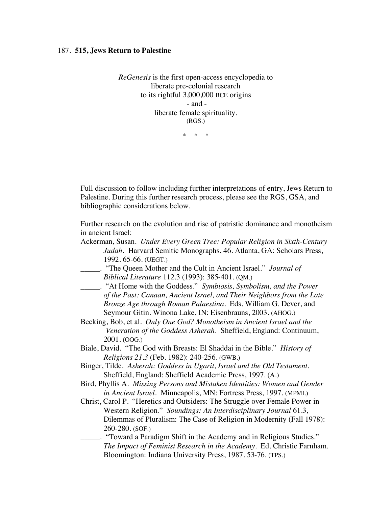## 187. **515, Jews Return to Palestine**

*ReGenesis* is the first open-access encyclopedia to liberate pre-colonial research to its rightful 3,000,000 BCE origins - and liberate female spirituality. (RGS.)

\* \* \*

Full discussion to follow including further interpretations of entry, Jews Return to Palestine. During this further research process, please see the RGS, GSA, and bibliographic considerations below.

Further research on the evolution and rise of patristic dominance and monotheism in ancient Israel:

- Ackerman, Susan. *Under Every Green Tree: Popular Religion in Sixth-Century Judah*. Harvard Semitic Monographs, 46. Atlanta, GA: Scholars Press, 1992. 65-66. (UEGT.)
- \_\_\_\_\_. "The Queen Mother and the Cult in Ancient Israel." *Journal of Biblical Literature* 112.3 (1993): 385-401. (QM.)
- \_\_\_\_\_. "At Home with the Goddess." *Symbiosis, Symbolism, and the Power of the Past: Canaan, Ancient Israel, and Their Neighbors from the Late Bronze Age through Roman Palaestina.* Eds. William G. Dever, and Seymour Gitin. Winona Lake, IN: Eisenbrauns, 2003. (AHOG.)
- Becking, Bob, et al. *Only One God? Monotheism in Ancient Israel and the Veneration of the Goddess Asherah.* Sheffield, England: Continuum, 2001. (OOG.)
- Biale, David. "The God with Breasts: El Shaddai in the Bible." *History of Religions 21.3* (Feb. 1982): 240-256. (GWB.)
- Binger, Tilde. *Asherah: Goddess in Ugarit, Israel and the Old Testament.* Sheffield, England: Sheffield Academic Press, 1997. (A.)
- Bird, Phyllis A. *Missing Persons and Mistaken Identities: Women and Gender in Ancient Israel.* Minneapolis, MN: Fortress Press, 1997. (MPMI.)
- Christ, Carol P. "Heretics and Outsiders: The Struggle over Female Power in Western Religion." *Soundings: An Interdisciplinary Journal* 61.3, Dilemmas of Pluralism: The Case of Religion in Modernity (Fall 1978): 260-280. (SOF.)
- \_\_\_\_\_. "Toward a Paradigm Shift in the Academy and in Religious Studies." *The Impact of Feminist Research in the Academy*. Ed. Christie Farnham. Bloomington: Indiana University Press, 1987. 53-76. (TPS.)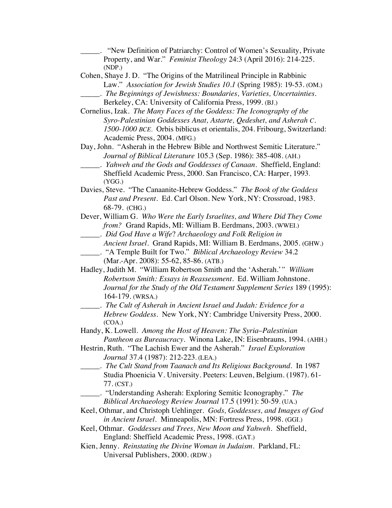| "New Definition of Patriarchy: Control of Women's Sexuality, Private       |
|----------------------------------------------------------------------------|
| Property, and War." Feminist Theology 24:3 (April 2016): 214-225.          |
| (NDP.)                                                                     |
| Cohen, Shaye J. D. "The Origins of the Matrilineal Principle in Rabbinic   |
| Law." Association for Jewish Studies 10.1 (Spring 1985): 19-53. (OM.)      |
| _. The Beginnings of Jewishness: Boundaries, Varieties, Uncertainties.     |
| Berkeley, CA: University of California Press, 1999. (BJ.)                  |
| Cornelius, Izak. The Many Faces of the Goddess: The Iconography of the     |
| Syro-Palestinian Goddesses Anat, Astarte, Qedeshet, and Asherah C.         |
| 1500-1000 BCE. Orbis biblicus et orientalis, 204. Fribourg, Switzerland:   |
| Academic Press, 2004. (MFG.)                                               |
| Day, John. "Asherah in the Hebrew Bible and Northwest Semitic Literature." |
| Journal of Biblical Literature 105.3 (Sep. 1986): 385-408. (AH.)           |
| . Yahweh and the Gods and Goddesses of Canaan. Sheffield, England:         |
| Sheffield Academic Press, 2000. San Francisco, CA: Harper, 1993.           |
| (YGG.)                                                                     |
| Davies, Steve. "The Canaanite-Hebrew Goddess." The Book of the Goddess     |
| Past and Present. Ed. Carl Olson. New York, NY: Crossroad, 1983.           |
| 68-79. (CHG.)                                                              |
| Dever, William G. Who Were the Early Israelites, and Where Did They Come   |
| from? Grand Rapids, MI: William B. Eerdmans, 2003. (WWEI.)                 |
| ______. Did God Have a Wife? Archaeology and Folk Religion in              |
| Ancient Israel. Grand Rapids, MI: William B. Eerdmans, 2005. (GHW.)        |
|                                                                            |
| (Mar.-Apr. 2008): 55-62, 85-86. (ATB.)                                     |
| Hadley, Judith M. "William Robertson Smith and the 'Asherah.'" William     |
| Robertson Smith: Essays in Reassessment. Ed. William Johnstone.            |
| Journal for the Study of the Old Testament Supplement Series 189 (1995):   |
| 164-179. (WRSA.)                                                           |
| . The Cult of Asherah in Ancient Israel and Judah: Evidence for a          |
| Hebrew Goddess. New York, NY: Cambridge University Press, 2000.            |
| (COA.)                                                                     |
| Handy, K. Lowell. Among the Host of Heaven: The Syria-Palestinian          |
| Pantheon as Bureaucracy. Winona Lake, IN: Eisenbrauns, 1994. (AHH.)        |
| Hestrin, Ruth. "The Lachish Ewer and the Asherah." Israel Exploration      |
| Journal 37.4 (1987): 212-223. (LEA.)                                       |
| _______. The Cult Stand from Taanach and Its Religious Background. In 1987 |
| Studia Phoenicia V. University. Peeters: Leuven, Belgium. (1987). 61-      |
| 77. (CST.)                                                                 |
| "Understanding Asherah: Exploring Semitic Iconography." The                |
| Biblical Archaeology Review Journal 17.5 (1991): 50-59. (UA.)              |
| Keel, Othmar, and Christoph Uehlinger. Gods, Goddesses, and Images of God  |
| in Ancient Israel. Minneapolis, MN: Fortress Press, 1998. (GGI.)           |
| Keel, Othmar. Goddesses and Trees, New Moon and Yahweh. Sheffield,         |

England: Sheffield Academic Press, 1998. (GAT.)

Kien, Jenny. *Reinstating the Divine Woman in Judaism.* Parkland, FL: Universal Publishers, 2000. (RDW.)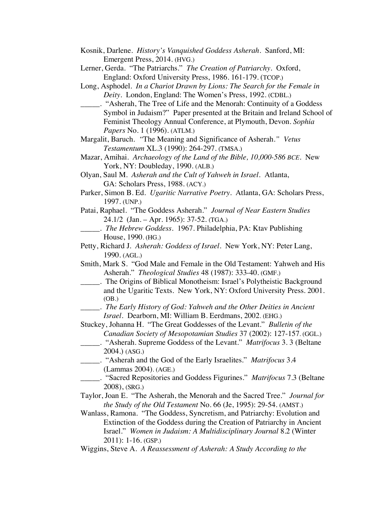- Kosnik, Darlene. *History's Vanquished Goddess Asherah*. Sanford, MI: Emergent Press, 2014. (HVG.)
- Lerner, Gerda. "The Patriarchs." *The Creation of Patriarchy.* Oxford, England: Oxford University Press, 1986. 161-179. (TCOP.)
- Long, Asphodel. *In a Chariot Drawn by Lions: The Search for the Female in Deity.* London, England: The Women's Press, 1992. (CDBL.)
- \_\_\_\_\_. "Asherah, The Tree of Life and the Menorah: Continuity of a Goddess Symbol in Judaism?" Paper presented at the Britain and Ireland School of Feminist Theology Annual Conference, at Plymouth, Devon. *Sophia Papers* No. 1 (1996). (ATLM.)
- Margalit, Baruch. *"*The Meaning and Significance of Asherah.*" Vetus Testamentum* XL.3 (1990): 264-297. (TMSA.)
- Mazar, Amihai. *Archaeology of the Land of the Bible, 10,000-586 BCE.* New York, NY: Doubleday, 1990. (ALB.)
- Olyan, Saul M. *Asherah and the Cult of Yahweh in Israel.* Atlanta, GA: Scholars Press, 1988. (ACY.)
- Parker, Simon B. Ed. *Ugaritic Narrative Poetry.* Atlanta, GA: Scholars Press, 1997. (UNP.)
- Patai, Raphael. "The Goddess Asherah." *Journal of Near Eastern Studies* 24.1/2 (Jan. – Apr. 1965): 37-52. (TGA.)
	- \_\_\_\_\_. *The Hebrew Goddess.* 1967. Philadelphia, PA: Ktav Publishing House, 1990. (HG.)
- Petty, Richard J*. Asherah: Goddess of Israel*. New York, NY: Peter Lang, 1990. (AGL.)
- Smith, Mark S. "God Male and Female in the Old Testament: Yahweh and His Asherah." *Theological Studies* 48 (1987): 333-40. (GMF.)
- \_\_\_\_\_. The Origins of Biblical Monotheism: Israel's Polytheistic Background and the Ugaritic Texts. New York, NY: Oxford University Press. 2001. (OB.)
- \_\_\_\_\_. *The Early History of God: Yahweh and the Other Deities in Ancient Israel.* Dearborn, MI: William B. Eerdmans, 2002. (EHG.)
- Stuckey, Johanna H. "The Great Goddesses of the Levant." *Bulletin of the Canadian Society of Mesopotamian Studies* 37 (2002): 127-157. (GGL.)
- \_\_\_\_\_. "Asherah. Supreme Goddess of the Levant." *Matrifocus* 3. 3 (Beltane 2004.) (ASG.)
- \_\_\_\_\_. "Asherah and the God of the Early Israelites." *Matrifocus* 3.4 (Lammas 2004). (AGE.)
- \_\_\_\_\_. "Sacred Repositories and Goddess Figurines." *Matrifocus* 7.3 (Beltane 2008), (SRG.)
- Taylor, Joan E. "The Asherah, the Menorah and the Sacred Tree." *Journal for the Study of the Old Testament* No. 66 (Je, 1995): 29-54. (AMST.)
- Wanlass, Ramona. "The Goddess, Syncretism, and Patriarchy: Evolution and Extinction of the Goddess during the Creation of Patriarchy in Ancient Israel." *Women in Judaism: A Multidisciplinary Journal* 8.2 (Winter 2011): 1-16. (GSP.)
- Wiggins, Steve A. *A Reassessment of Asherah: A Study According to the*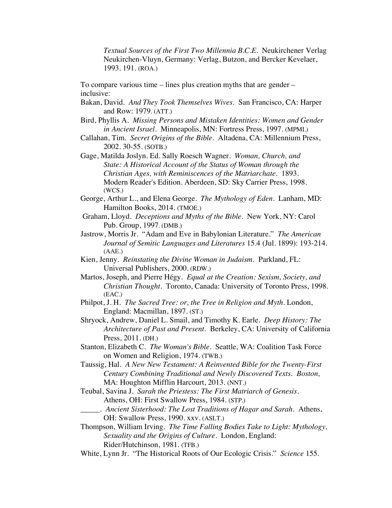*Textual Sources of the First Two Millennia B.C.E.* Neukirchener Verlag Neukirchen-Vluyn, Germany: Verlag, Butzon, and Bercker Kevelaer, 1993. 191. (ROA.)

To compare various time – lines plus creation myths that are gender – inclusive:

- Bakan, David. *And They Took Themselves Wives*. San Francisco, CA: Harper and Row: 1979. (ATT.)
- Bird, Phyllis A. *Missing Persons and Mistaken Identities: Women and Gender in Ancient Israel.* Minneapolis, MN: Fortress Press, 1997. (MPMI.)
- Callahan, Tim. *Secret Origins of the Bible.* Altadena, CA: Millennium Press, 2002. 30-55. (SOTB.)
- Gage, Matilda Joslyn. Ed. Sally Roesch Wagner. *Woman, Church, and State: A Historical Account of the Status of Woman through the Christian Ages, with Reminiscences of the Matriarchate*. 1893. Modern Reader's Edition. Aberdeen, SD: Sky Carrier Press, 1998. (WCS.)
- George, Arthur L., and Elena George. *The Mythology of Eden*. Lanham, MD: Hamilton Books, 2014. (TMOE.)
- Graham, Lloyd. *Deceptions and Myths of the Bible*. New York, NY: Carol Pub. Group, 1997. (DMB.)
- Jastrow, Morris Jr. "Adam and Eve in Babylonian Literature." *The American Journal of Semitic Languages and Literatures* 15.4 (Jul. 1899): 193-214. (AAE.)
- Kien, Jenny. *Reinstating the Divine Woman in Judaism.* Parkland, FL: Universal Publishers, 2000. (RDW.)
- Martos, Joseph, and Pierre Hégy. *Equal at the Creation: Sexism, Society, and Christian Thought*. Toronto, Canada: University of Toronto Press, 1998. (EAC.)
- Philpot, J. H. *The Sacred Tree: or, the Tree in Religion and Myth*. London, England: Macmillan, 1897. (ST.)
- Shryock, Andrew, Daniel L. Smail, and Timothy K. Earle. *Deep History: The Architecture of Past and Present*. Berkeley, CA: University of California Press, 2011. (DH.)
- Stanton, Elizabeth C. *The Woman's Bible*. Seattle, WA: Coalition Task Force on Women and Religion, 1974. (TWB.)
- Taussig, Hal. *A New New Testament: A Reinvented Bible for the Twenty-First Century Combining Traditional and Newly Discovered Texts. Boston,*  MA: Houghton Mifflin Harcourt, 2013. (NNT.)
- Teubal, Savina J. *Sarah the Priestess: The First Matriarch of Genesis*. Athens, OH: First Swallow Press, 1984. (STP.)
	- \_\_\_\_\_. *Ancient Sisterhood: The Lost Traditions of Hagar and Sarah*. Athens, OH: Swallow Press, 1990. xxv. (ASLT.)
- Thompson, William Irving. *The Time Falling Bodies Take to Light: Mythology, Sexuality and the Origins of Culture.* London, England: Rider/Hutchinson, 1981. (TFB.)
- White, Lynn Jr. "The Historical Roots of Our Ecologic Crisis." *Science* 155.